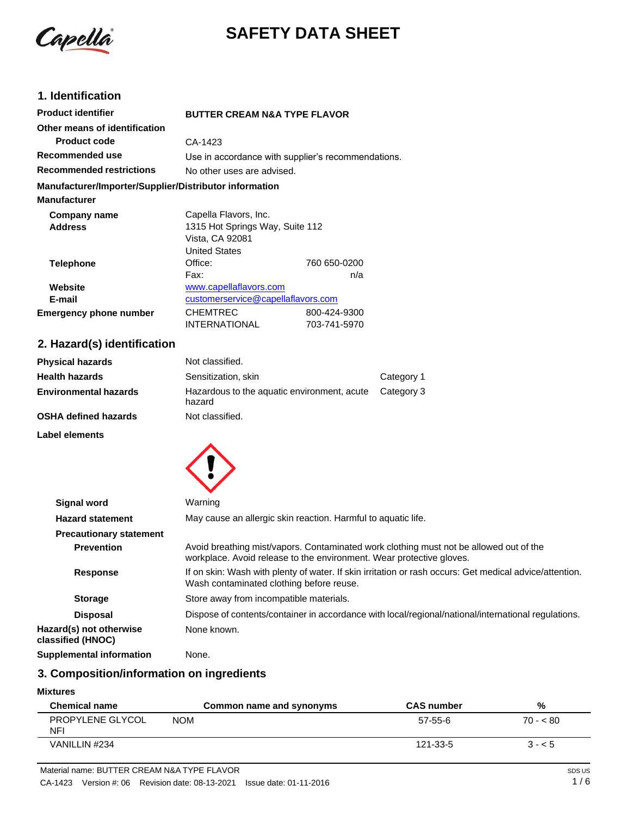Capella

# **SAFETY DATA SHEET**

# **1. Identification**

| <b>Product identifier</b>                              | <b>BUTTER CREAM N&amp;A TYPE FLAVOR</b> |                                                    |
|--------------------------------------------------------|-----------------------------------------|----------------------------------------------------|
| Other means of identification                          |                                         |                                                    |
| <b>Product code</b>                                    | CA-1423                                 |                                                    |
| Recommended use                                        |                                         | Use in accordance with supplier's recommendations. |
| <b>Recommended restrictions</b>                        | No other uses are advised.              |                                                    |
| Manufacturer/Importer/Supplier/Distributor information |                                         |                                                    |
| <b>Manufacturer</b>                                    |                                         |                                                    |
| Company name                                           | Capella Flavors, Inc.                   |                                                    |
| <b>Address</b>                                         | 1315 Hot Springs Way, Suite 112         |                                                    |
|                                                        | Vista, CA 92081                         |                                                    |
|                                                        | <b>United States</b>                    |                                                    |
| Telephone                                              | Office:                                 | 760 650-0200                                       |
|                                                        | Fax:                                    | n/a                                                |
| Website                                                | www.capellaflavors.com                  |                                                    |
| E-mail                                                 | customerservice@capellaflavors.com      |                                                    |
| <b>Emergency phone number</b>                          | <b>CHEMTREC</b>                         | 800-424-9300                                       |
|                                                        | <b>INTERNATIONAL</b>                    | 703-741-5970                                       |

# **2. Hazard(s) identification**

| <b>Physical hazards</b>      | Not classified.                                       |            |
|------------------------------|-------------------------------------------------------|------------|
| <b>Health hazards</b>        | Sensitization, skin                                   | Category 1 |
| <b>Environmental hazards</b> | Hazardous to the aquatic environment, acute<br>hazard | Category 3 |
| <b>OSHA defined hazards</b>  | Not classified.                                       |            |

**Label elements**



| <b>Signal word</b>                           | Warning                                                                                                                                                        |
|----------------------------------------------|----------------------------------------------------------------------------------------------------------------------------------------------------------------|
| <b>Hazard statement</b>                      | May cause an allergic skin reaction. Harmful to aquatic life.                                                                                                  |
| <b>Precautionary statement</b>               |                                                                                                                                                                |
| <b>Prevention</b>                            | Avoid breathing mist/vapors. Contaminated work clothing must not be allowed out of the<br>workplace. Avoid release to the environment. Wear protective gloves. |
| <b>Response</b>                              | If on skin: Wash with plenty of water. If skin irritation or rash occurs: Get medical advice/attention.<br>Wash contaminated clothing before reuse.            |
| <b>Storage</b>                               | Store away from incompatible materials.                                                                                                                        |
| <b>Disposal</b>                              | Dispose of contents/container in accordance with local/regional/national/international regulations.                                                            |
| Hazard(s) not otherwise<br>classified (HNOC) | None known.                                                                                                                                                    |
| Supplemental information                     | None.                                                                                                                                                          |

# **3. Composition/information on ingredients**

#### **Mixtures**

| <b>Chemical name</b>    | Common name and synonyms | <b>CAS number</b> | %         |
|-------------------------|--------------------------|-------------------|-----------|
| PROPYLENE GLYCOL<br>NFI | <b>NOM</b>               | 57-55-6           | $70 - 80$ |
| VANILLIN #234           |                          | 121-33-5          | $3 - 5$   |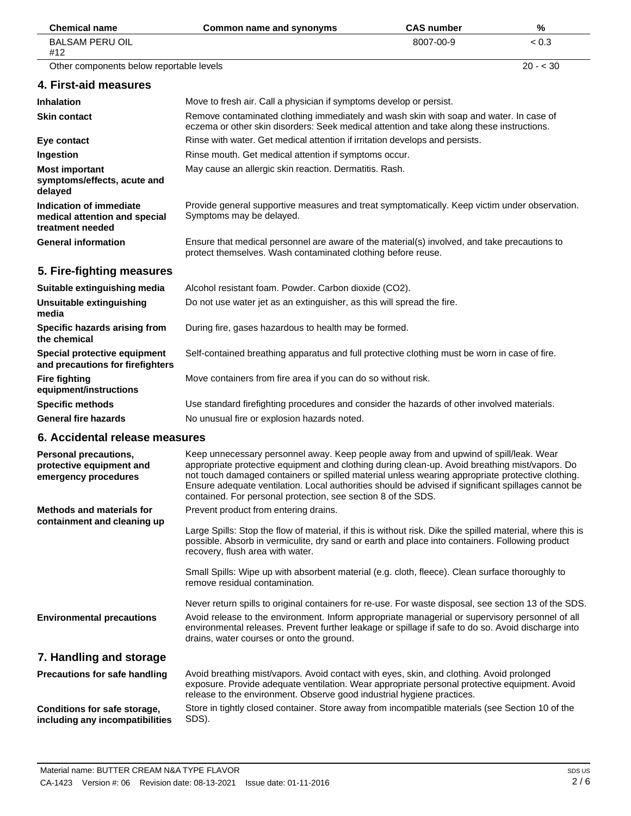| <b>Chemical name</b>                                                             | Common name and synonyms                                                                                                                                                                                                                                                                                                                                                                                                                                            | <b>CAS number</b> | %         |
|----------------------------------------------------------------------------------|---------------------------------------------------------------------------------------------------------------------------------------------------------------------------------------------------------------------------------------------------------------------------------------------------------------------------------------------------------------------------------------------------------------------------------------------------------------------|-------------------|-----------|
| <b>BALSAM PERU OIL</b><br>#12                                                    |                                                                                                                                                                                                                                                                                                                                                                                                                                                                     | 8007-00-9         | < 0.3     |
| Other components below reportable levels                                         |                                                                                                                                                                                                                                                                                                                                                                                                                                                                     |                   | $20 - 30$ |
| 4. First-aid measures                                                            |                                                                                                                                                                                                                                                                                                                                                                                                                                                                     |                   |           |
| <b>Inhalation</b>                                                                | Move to fresh air. Call a physician if symptoms develop or persist.                                                                                                                                                                                                                                                                                                                                                                                                 |                   |           |
| <b>Skin contact</b>                                                              | Remove contaminated clothing immediately and wash skin with soap and water. In case of<br>eczema or other skin disorders: Seek medical attention and take along these instructions.                                                                                                                                                                                                                                                                                 |                   |           |
| Eye contact                                                                      | Rinse with water. Get medical attention if irritation develops and persists.                                                                                                                                                                                                                                                                                                                                                                                        |                   |           |
| Ingestion                                                                        | Rinse mouth. Get medical attention if symptoms occur.                                                                                                                                                                                                                                                                                                                                                                                                               |                   |           |
| <b>Most important</b><br>symptoms/effects, acute and<br>delayed                  | May cause an allergic skin reaction. Dermatitis. Rash.                                                                                                                                                                                                                                                                                                                                                                                                              |                   |           |
| Indication of immediate<br>medical attention and special<br>treatment needed     | Provide general supportive measures and treat symptomatically. Keep victim under observation.<br>Symptoms may be delayed.                                                                                                                                                                                                                                                                                                                                           |                   |           |
| <b>General information</b>                                                       | Ensure that medical personnel are aware of the material(s) involved, and take precautions to<br>protect themselves. Wash contaminated clothing before reuse.                                                                                                                                                                                                                                                                                                        |                   |           |
| 5. Fire-fighting measures                                                        |                                                                                                                                                                                                                                                                                                                                                                                                                                                                     |                   |           |
| Suitable extinguishing media                                                     | Alcohol resistant foam. Powder. Carbon dioxide (CO2).                                                                                                                                                                                                                                                                                                                                                                                                               |                   |           |
| Unsuitable extinguishing<br>media                                                | Do not use water jet as an extinguisher, as this will spread the fire.                                                                                                                                                                                                                                                                                                                                                                                              |                   |           |
| Specific hazards arising from<br>the chemical                                    | During fire, gases hazardous to health may be formed.                                                                                                                                                                                                                                                                                                                                                                                                               |                   |           |
| Special protective equipment<br>and precautions for firefighters                 | Self-contained breathing apparatus and full protective clothing must be worn in case of fire.                                                                                                                                                                                                                                                                                                                                                                       |                   |           |
| <b>Fire fighting</b><br>equipment/instructions                                   | Move containers from fire area if you can do so without risk.                                                                                                                                                                                                                                                                                                                                                                                                       |                   |           |
| <b>Specific methods</b>                                                          | Use standard firefighting procedures and consider the hazards of other involved materials.                                                                                                                                                                                                                                                                                                                                                                          |                   |           |
| <b>General fire hazards</b>                                                      | No unusual fire or explosion hazards noted.                                                                                                                                                                                                                                                                                                                                                                                                                         |                   |           |
| 6. Accidental release measures                                                   |                                                                                                                                                                                                                                                                                                                                                                                                                                                                     |                   |           |
| <b>Personal precautions,</b><br>protective equipment and<br>emergency procedures | Keep unnecessary personnel away. Keep people away from and upwind of spill/leak. Wear<br>appropriate protective equipment and clothing during clean-up. Avoid breathing mist/vapors. Do<br>not touch damaged containers or spilled material unless wearing appropriate protective clothing.<br>Ensure adequate ventilation. Local authorities should be advised if significant spillages cannot be<br>contained. For personal protection, see section 8 of the SDS. |                   |           |
| <b>Methods and materials for</b>                                                 | Prevent product from entering drains.                                                                                                                                                                                                                                                                                                                                                                                                                               |                   |           |
| containment and cleaning up                                                      | Large Spills: Stop the flow of material, if this is without risk. Dike the spilled material, where this is<br>possible. Absorb in vermiculite, dry sand or earth and place into containers. Following product<br>recovery, flush area with water.                                                                                                                                                                                                                   |                   |           |
|                                                                                  | Small Spills: Wipe up with absorbent material (e.g. cloth, fleece). Clean surface thoroughly to<br>remove residual contamination.                                                                                                                                                                                                                                                                                                                                   |                   |           |
|                                                                                  | Never return spills to original containers for re-use. For waste disposal, see section 13 of the SDS.                                                                                                                                                                                                                                                                                                                                                               |                   |           |
| <b>Environmental precautions</b>                                                 | Avoid release to the environment. Inform appropriate managerial or supervisory personnel of all<br>environmental releases. Prevent further leakage or spillage if safe to do so. Avoid discharge into<br>drains, water courses or onto the ground.                                                                                                                                                                                                                  |                   |           |
| 7. Handling and storage                                                          |                                                                                                                                                                                                                                                                                                                                                                                                                                                                     |                   |           |
| Precautions for safe handling                                                    | Avoid breathing mist/vapors. Avoid contact with eyes, skin, and clothing. Avoid prolonged<br>exposure. Provide adequate ventilation. Wear appropriate personal protective equipment. Avoid<br>release to the environment. Observe good industrial hygiene practices.                                                                                                                                                                                                |                   |           |
| Conditions for safe storage,<br>including any incompatibilities                  | Store in tightly closed container. Store away from incompatible materials (see Section 10 of the<br>SDS).                                                                                                                                                                                                                                                                                                                                                           |                   |           |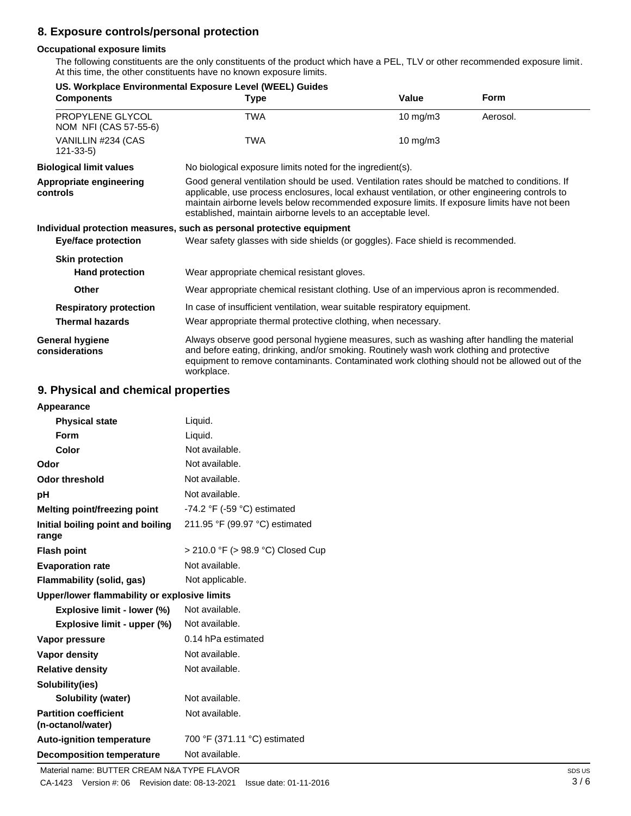# **8. Exposure controls/personal protection**

#### **Occupational exposure limits**

The following constituents are the only constituents of the product which have a PEL, TLV or other recommended exposure limit. At this time, the other constituents have no known exposure limits.

|                                           | US. Workplace Environmental Exposure Level (WEEL) Guides                                                                                                                                                                                                                                                                                                           |                   |             |
|-------------------------------------------|--------------------------------------------------------------------------------------------------------------------------------------------------------------------------------------------------------------------------------------------------------------------------------------------------------------------------------------------------------------------|-------------------|-------------|
| <b>Components</b>                         | <b>Type</b>                                                                                                                                                                                                                                                                                                                                                        | Value             | <b>Form</b> |
| PROPYLENE GLYCOL<br>NOM NFI (CAS 57-55-6) | TWA                                                                                                                                                                                                                                                                                                                                                                | $10 \text{ mg/m}$ | Aerosol.    |
| VANILLIN #234 (CAS<br>$121 - 33 - 5$      | TWA                                                                                                                                                                                                                                                                                                                                                                | $10 \text{ mg/m}$ |             |
| <b>Biological limit values</b>            | No biological exposure limits noted for the ingredient(s).                                                                                                                                                                                                                                                                                                         |                   |             |
| Appropriate engineering<br>controls       | Good general ventilation should be used. Ventilation rates should be matched to conditions. If<br>applicable, use process enclosures, local exhaust ventilation, or other engineering controls to<br>maintain airborne levels below recommended exposure limits. If exposure limits have not been<br>established, maintain airborne levels to an acceptable level. |                   |             |
|                                           | Individual protection measures, such as personal protective equipment                                                                                                                                                                                                                                                                                              |                   |             |
| <b>Eye/face protection</b>                | Wear safety glasses with side shields (or goggles). Face shield is recommended.                                                                                                                                                                                                                                                                                    |                   |             |
| <b>Skin protection</b>                    |                                                                                                                                                                                                                                                                                                                                                                    |                   |             |
| <b>Hand protection</b>                    | Wear appropriate chemical resistant gloves.                                                                                                                                                                                                                                                                                                                        |                   |             |
| Other                                     | Wear appropriate chemical resistant clothing. Use of an impervious apron is recommended.                                                                                                                                                                                                                                                                           |                   |             |
| <b>Respiratory protection</b>             | In case of insufficient ventilation, wear suitable respiratory equipment.                                                                                                                                                                                                                                                                                          |                   |             |
| <b>Thermal hazards</b>                    | Wear appropriate thermal protective clothing, when necessary.                                                                                                                                                                                                                                                                                                      |                   |             |
| General hygiene<br>considerations         | Always observe good personal hygiene measures, such as washing after handling the material<br>and before eating, drinking, and/or smoking. Routinely wash work clothing and protective<br>equipment to remove contaminants. Contaminated work clothing should not be allowed out of the<br>workplace.                                                              |                   |             |

### **9. Physical and chemical properties**

| Appearance                                        |                                   |
|---------------------------------------------------|-----------------------------------|
| <b>Physical state</b>                             | Liquid.                           |
| <b>Form</b>                                       | Liquid.                           |
| Color                                             | Not available.                    |
| Odor                                              | Not available.                    |
| Odor threshold                                    | Not available.                    |
| рH                                                | Not available.                    |
| <b>Melting point/freezing point</b>               | -74.2 °F (-59 °C) estimated       |
| Initial boiling point and boiling<br>range        | 211.95 °F (99.97 °C) estimated    |
| <b>Flash point</b>                                | > 210.0 °F (> 98.9 °C) Closed Cup |
| <b>Evaporation rate</b>                           | Not available.                    |
| Flammability (solid, gas)                         | Not applicable.                   |
| Upper/lower flammability or explosive limits      |                                   |
| Explosive limit - lower (%)                       | Not available.                    |
| Explosive limit - upper (%)                       | Not available.                    |
| Vapor pressure                                    | 0.14 hPa estimated                |
| <b>Vapor density</b>                              | Not available.                    |
| <b>Relative density</b>                           | Not available.                    |
| Solubility(ies)                                   |                                   |
| Solubility (water)                                | Not available.                    |
| <b>Partition coefficient</b><br>(n-octanol/water) | Not available.                    |
| <b>Auto-ignition temperature</b>                  | 700 °F (371.11 °C) estimated      |
| <b>Decomposition temperature</b>                  | Not available.                    |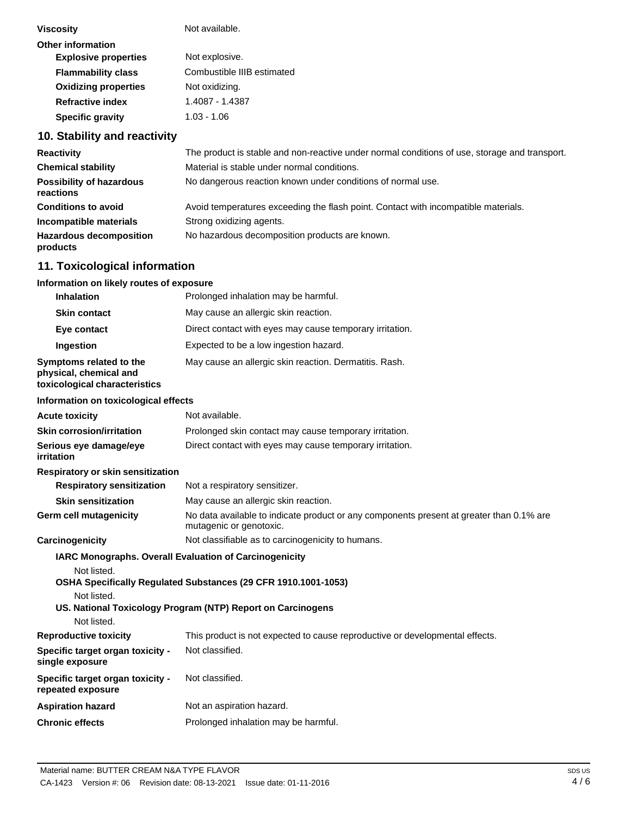| <b>Viscosity</b>            | Not available.             |
|-----------------------------|----------------------------|
| <b>Other information</b>    |                            |
| <b>Explosive properties</b> | Not explosive.             |
| <b>Flammability class</b>   | Combustible IIIB estimated |
| <b>Oxidizing properties</b> | Not oxidizing.             |
| <b>Refractive index</b>     | 1.4087 - 1.4387            |
| <b>Specific gravity</b>     | 1.03 - 1.06                |
|                             |                            |

# **10. Stability and reactivity**

| <b>Reactivity</b>                            | The product is stable and non-reactive under normal conditions of use, storage and transport. |
|----------------------------------------------|-----------------------------------------------------------------------------------------------|
| <b>Chemical stability</b>                    | Material is stable under normal conditions.                                                   |
| <b>Possibility of hazardous</b><br>reactions | No dangerous reaction known under conditions of normal use.                                   |
| <b>Conditions to avoid</b>                   | Avoid temperatures exceeding the flash point. Contact with incompatible materials.            |
| Incompatible materials                       | Strong oxidizing agents.                                                                      |
| <b>Hazardous decomposition</b><br>products   | No hazardous decomposition products are known.                                                |

# **11. Toxicological information**

| Information on likely routes of exposure                                           |                                                                                                                                                                                         |
|------------------------------------------------------------------------------------|-----------------------------------------------------------------------------------------------------------------------------------------------------------------------------------------|
| <b>Inhalation</b>                                                                  | Prolonged inhalation may be harmful.                                                                                                                                                    |
| <b>Skin contact</b>                                                                | May cause an allergic skin reaction.                                                                                                                                                    |
| Eye contact                                                                        | Direct contact with eyes may cause temporary irritation.                                                                                                                                |
| <b>Ingestion</b>                                                                   | Expected to be a low ingestion hazard.                                                                                                                                                  |
| Symptoms related to the<br>physical, chemical and<br>toxicological characteristics | May cause an allergic skin reaction. Dermatitis. Rash.                                                                                                                                  |
| Information on toxicological effects                                               |                                                                                                                                                                                         |
| <b>Acute toxicity</b>                                                              | Not available.                                                                                                                                                                          |
| <b>Skin corrosion/irritation</b>                                                   | Prolonged skin contact may cause temporary irritation.                                                                                                                                  |
| Serious eye damage/eye<br><i>irritation</i>                                        | Direct contact with eyes may cause temporary irritation.                                                                                                                                |
| Respiratory or skin sensitization                                                  |                                                                                                                                                                                         |
| <b>Respiratory sensitization</b>                                                   | Not a respiratory sensitizer.                                                                                                                                                           |
| <b>Skin sensitization</b>                                                          | May cause an allergic skin reaction.                                                                                                                                                    |
| <b>Germ cell mutagenicity</b>                                                      | No data available to indicate product or any components present at greater than 0.1% are<br>mutagenic or genotoxic.                                                                     |
| Carcinogenicity                                                                    | Not classifiable as to carcinogenicity to humans.                                                                                                                                       |
| Not listed.<br>Not listed.<br>Not listed.                                          | IARC Monographs. Overall Evaluation of Carcinogenicity<br>OSHA Specifically Regulated Substances (29 CFR 1910.1001-1053)<br>US. National Toxicology Program (NTP) Report on Carcinogens |
| <b>Reproductive toxicity</b>                                                       | This product is not expected to cause reproductive or developmental effects.                                                                                                            |
| Specific target organ toxicity -<br>single exposure                                | Not classified.                                                                                                                                                                         |
| Specific target organ toxicity -<br>repeated exposure                              | Not classified.                                                                                                                                                                         |
| <b>Aspiration hazard</b>                                                           | Not an aspiration hazard.                                                                                                                                                               |
| <b>Chronic effects</b>                                                             | Prolonged inhalation may be harmful.                                                                                                                                                    |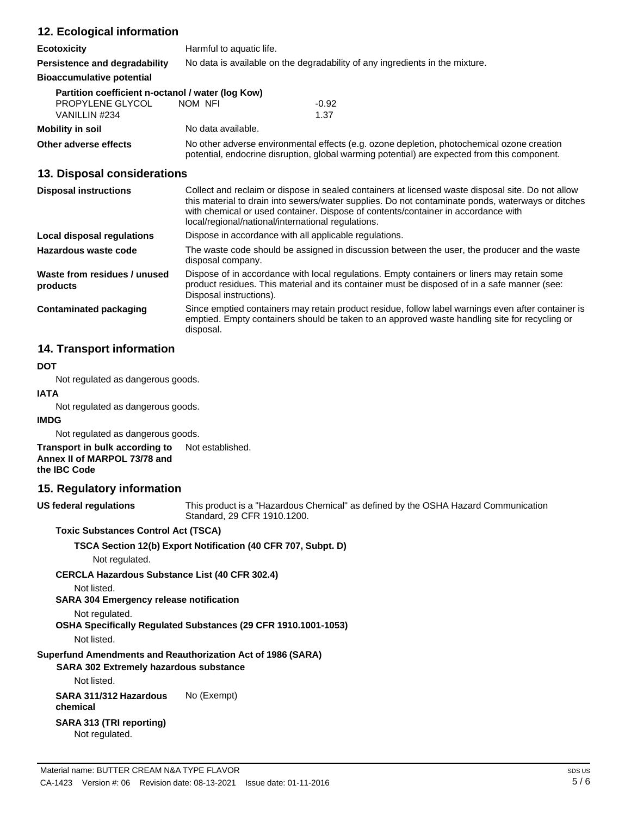# **12. Ecological information**

| <b>Ecotoxicity</b>                                | Harmful to aquatic life. |                                                                              |
|---------------------------------------------------|--------------------------|------------------------------------------------------------------------------|
| Persistence and degradability                     |                          | No data is available on the degradability of any ingredients in the mixture. |
| <b>Bioaccumulative potential</b>                  |                          |                                                                              |
| Partition coefficient n-octanol / water (log Kow) |                          |                                                                              |
| PROPYLENE GLYCOL                                  | NOM NFI                  | $-0.92$                                                                      |

**Mobility** in soil **Mobility** in soil

VANILLIN #234 1.37

**Other adverse effects** No other adverse environmental effects (e.g. ozone depletion, photochemical ozone creation potential, endocrine disruption, global warming potential) are expected from this component.

## **13. Disposal considerations**

| <b>Disposal instructions</b>             | Collect and reclaim or dispose in sealed containers at licensed waste disposal site. Do not allow<br>this material to drain into sewers/water supplies. Do not contaminate ponds, waterways or ditches<br>with chemical or used container. Dispose of contents/container in accordance with<br>local/regional/national/international regulations. |
|------------------------------------------|---------------------------------------------------------------------------------------------------------------------------------------------------------------------------------------------------------------------------------------------------------------------------------------------------------------------------------------------------|
| Local disposal regulations               | Dispose in accordance with all applicable regulations.                                                                                                                                                                                                                                                                                            |
| Hazardous waste code                     | The waste code should be assigned in discussion between the user, the producer and the waste<br>disposal company.                                                                                                                                                                                                                                 |
| Waste from residues / unused<br>products | Dispose of in accordance with local regulations. Empty containers or liners may retain some<br>product residues. This material and its container must be disposed of in a safe manner (see:<br>Disposal instructions).                                                                                                                            |
| <b>Contaminated packaging</b>            | Since emptied containers may retain product residue, follow label warnings even after container is<br>emptied. Empty containers should be taken to an approved waste handling site for recycling or<br>disposal.                                                                                                                                  |

# **14. Transport information**

#### **DOT**

Not regulated as dangerous goods.

#### **IATA**

Not regulated as dangerous goods.

#### **IMDG**

Not regulated as dangerous goods.

#### **Transport in bulk according to Annex II of MARPOL 73/78 and the IBC Code** Not established.

## **15. Regulatory information**

This product is a "Hazardous Chemical" as defined by the OSHA Hazard Communication Standard, 29 CFR 1910.1200.

#### **Toxic Substances Control Act (TSCA)**

#### **TSCA Section 12(b) Export Notification (40 CFR 707, Subpt. D)**

Not regulated.

## **CERCLA Hazardous Substance List (40 CFR 302.4)**

Not listed.

**US federal regulations**

**SARA 304 Emergency release notification**

## Not regulated.

**OSHA Specifically Regulated Substances (29 CFR 1910.1001-1053)**

Not listed.

# **Superfund Amendments and Reauthorization Act of 1986 (SARA)**

# **SARA 302 Extremely hazardous substance**

Not listed.

**SARA 311/312 Hazardous chemical** No (Exempt)

# **SARA 313 (TRI reporting)**

Not regulated.